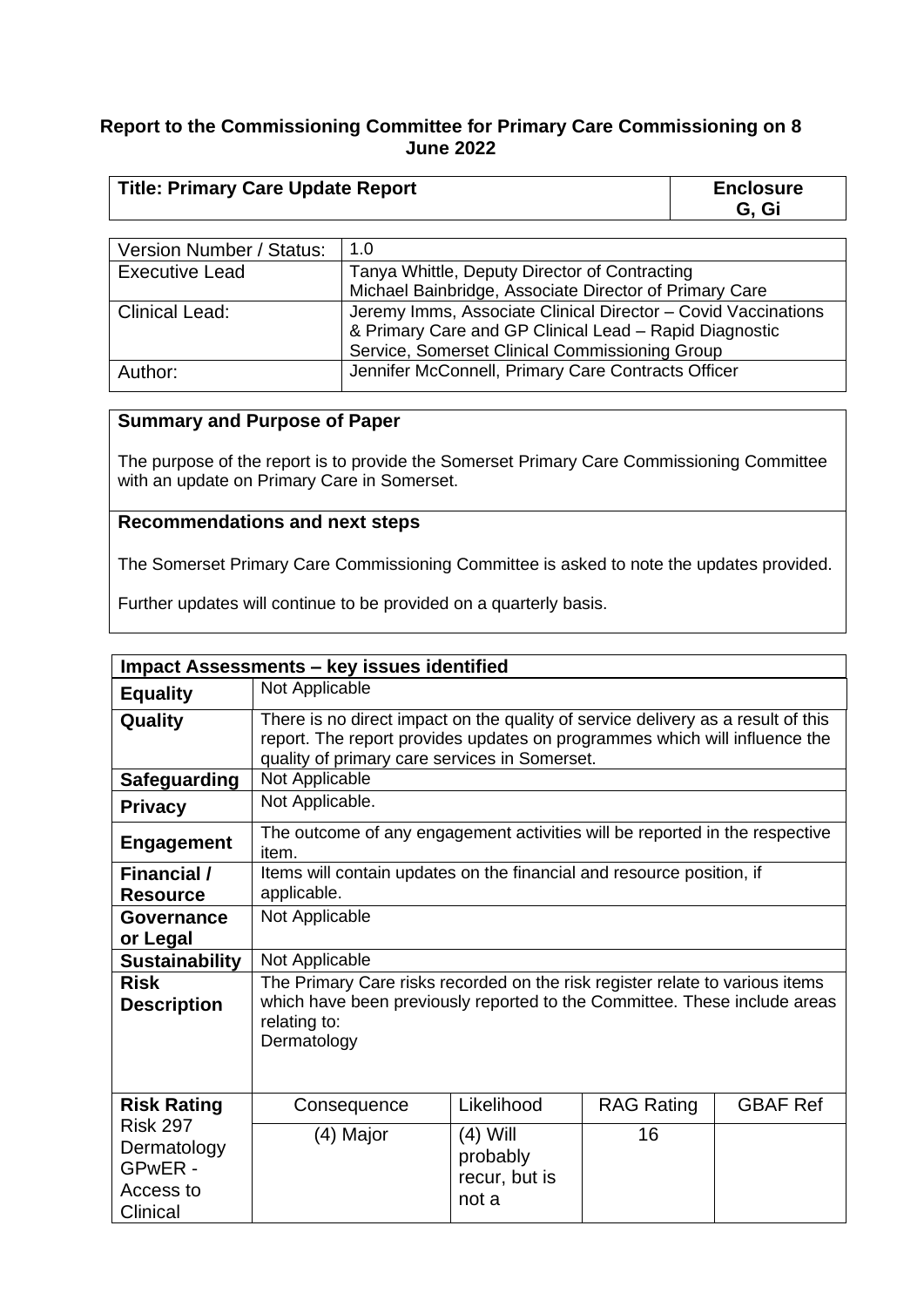#### **Report to the Commissioning Committee for Primary Care Commissioning on 8 June 2022**

| <b>Title: Primary Care Update Report</b> | <b>Enclosure</b><br>G. Gi |
|------------------------------------------|---------------------------|
|                                          |                           |

| Version Number / Status: | 1.0                                                                                                                                                                       |  |
|--------------------------|---------------------------------------------------------------------------------------------------------------------------------------------------------------------------|--|
| <b>Executive Lead</b>    | Tanya Whittle, Deputy Director of Contracting                                                                                                                             |  |
|                          | Michael Bainbridge, Associate Director of Primary Care                                                                                                                    |  |
| <b>Clinical Lead:</b>    | Jeremy Imms, Associate Clinical Director - Covid Vaccinations<br>& Primary Care and GP Clinical Lead - Rapid Diagnostic<br>Service, Somerset Clinical Commissioning Group |  |
| Author:                  | Jennifer McConnell, Primary Care Contracts Officer                                                                                                                        |  |

#### **Summary and Purpose of Paper**

The purpose of the report is to provide the Somerset Primary Care Commissioning Committee with an update on Primary Care in Somerset.

#### **Recommendations and next steps**

The Somerset Primary Care Commissioning Committee is asked to note the updates provided.

Further updates will continue to be provided on a quarterly basis.

|                                                                    | <b>Impact Assessments - key issues identified</b>                                                                                                                                                               |                                                  |                   |                 |
|--------------------------------------------------------------------|-----------------------------------------------------------------------------------------------------------------------------------------------------------------------------------------------------------------|--------------------------------------------------|-------------------|-----------------|
| <b>Equality</b>                                                    | Not Applicable                                                                                                                                                                                                  |                                                  |                   |                 |
| Quality                                                            | There is no direct impact on the quality of service delivery as a result of this<br>report. The report provides updates on programmes which will influence the<br>quality of primary care services in Somerset. |                                                  |                   |                 |
| <b>Safeguarding</b>                                                | Not Applicable                                                                                                                                                                                                  |                                                  |                   |                 |
| <b>Privacy</b>                                                     | Not Applicable.                                                                                                                                                                                                 |                                                  |                   |                 |
| <b>Engagement</b>                                                  | The outcome of any engagement activities will be reported in the respective<br>item.                                                                                                                            |                                                  |                   |                 |
| <b>Financial</b> /                                                 | Items will contain updates on the financial and resource position, if                                                                                                                                           |                                                  |                   |                 |
| <b>Resource</b>                                                    | applicable.                                                                                                                                                                                                     |                                                  |                   |                 |
| Governance                                                         | Not Applicable                                                                                                                                                                                                  |                                                  |                   |                 |
| or Legal                                                           |                                                                                                                                                                                                                 |                                                  |                   |                 |
| <b>Sustainability</b>                                              | Not Applicable                                                                                                                                                                                                  |                                                  |                   |                 |
| <b>Risk</b><br><b>Description</b>                                  | The Primary Care risks recorded on the risk register relate to various items<br>which have been previously reported to the Committee. These include areas<br>relating to:<br>Dermatology                        |                                                  |                   |                 |
| <b>Risk Rating</b>                                                 | Consequence                                                                                                                                                                                                     | Likelihood                                       | <b>RAG Rating</b> | <b>GBAF Ref</b> |
| <b>Risk 297</b><br>Dermatology<br>GPwER -<br>Access to<br>Clinical | (4) Major                                                                                                                                                                                                       | $(4)$ Will<br>probably<br>recur, but is<br>not a | 16                |                 |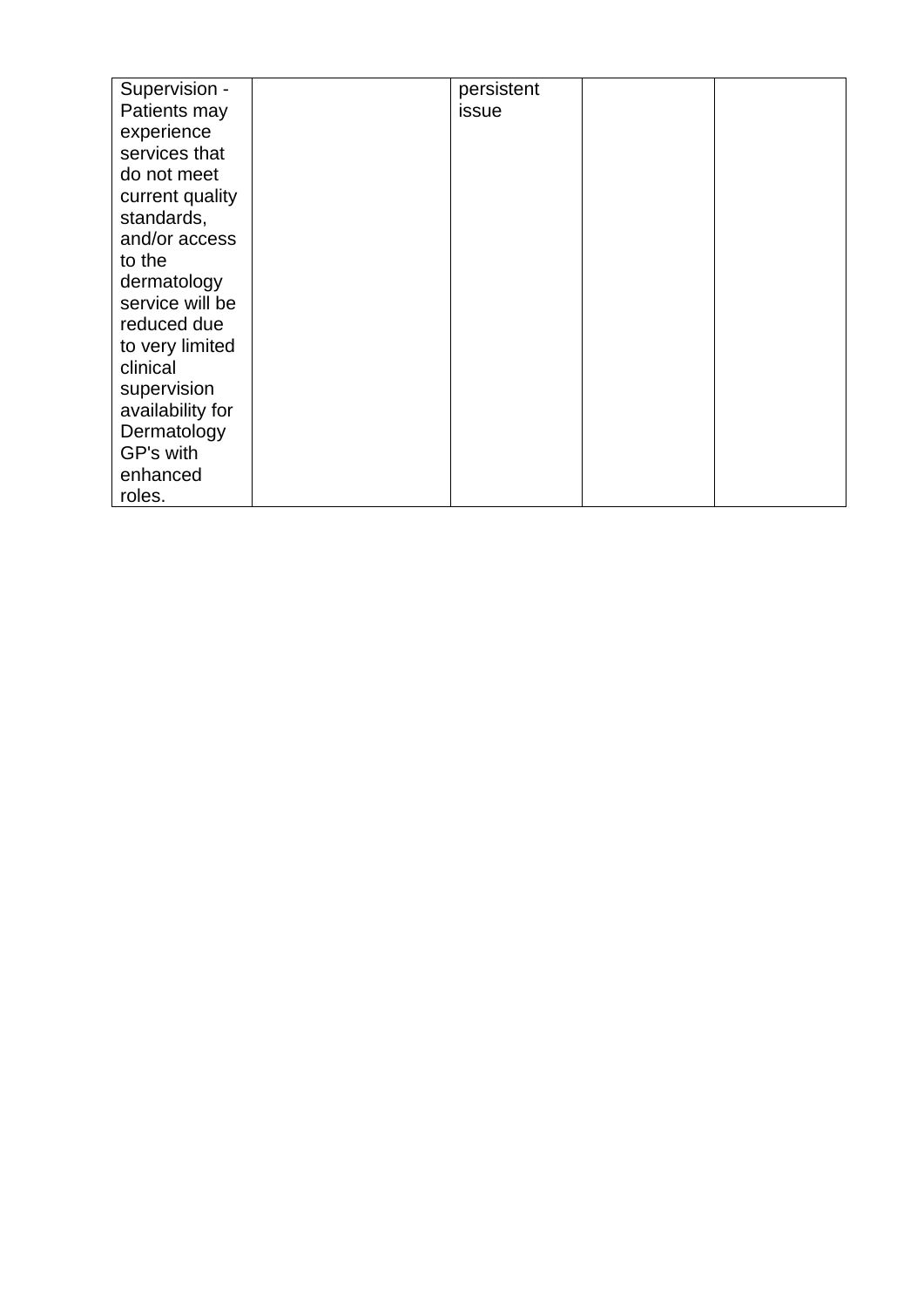| Supervision -    | persistent |  |
|------------------|------------|--|
| Patients may     | issue      |  |
| experience       |            |  |
| services that    |            |  |
| do not meet      |            |  |
| current quality  |            |  |
| standards,       |            |  |
| and/or access    |            |  |
| to the           |            |  |
| dermatology      |            |  |
| service will be  |            |  |
| reduced due      |            |  |
| to very limited  |            |  |
| clinical         |            |  |
| supervision      |            |  |
| availability for |            |  |
| Dermatology      |            |  |
| GP's with        |            |  |
| enhanced         |            |  |
| roles.           |            |  |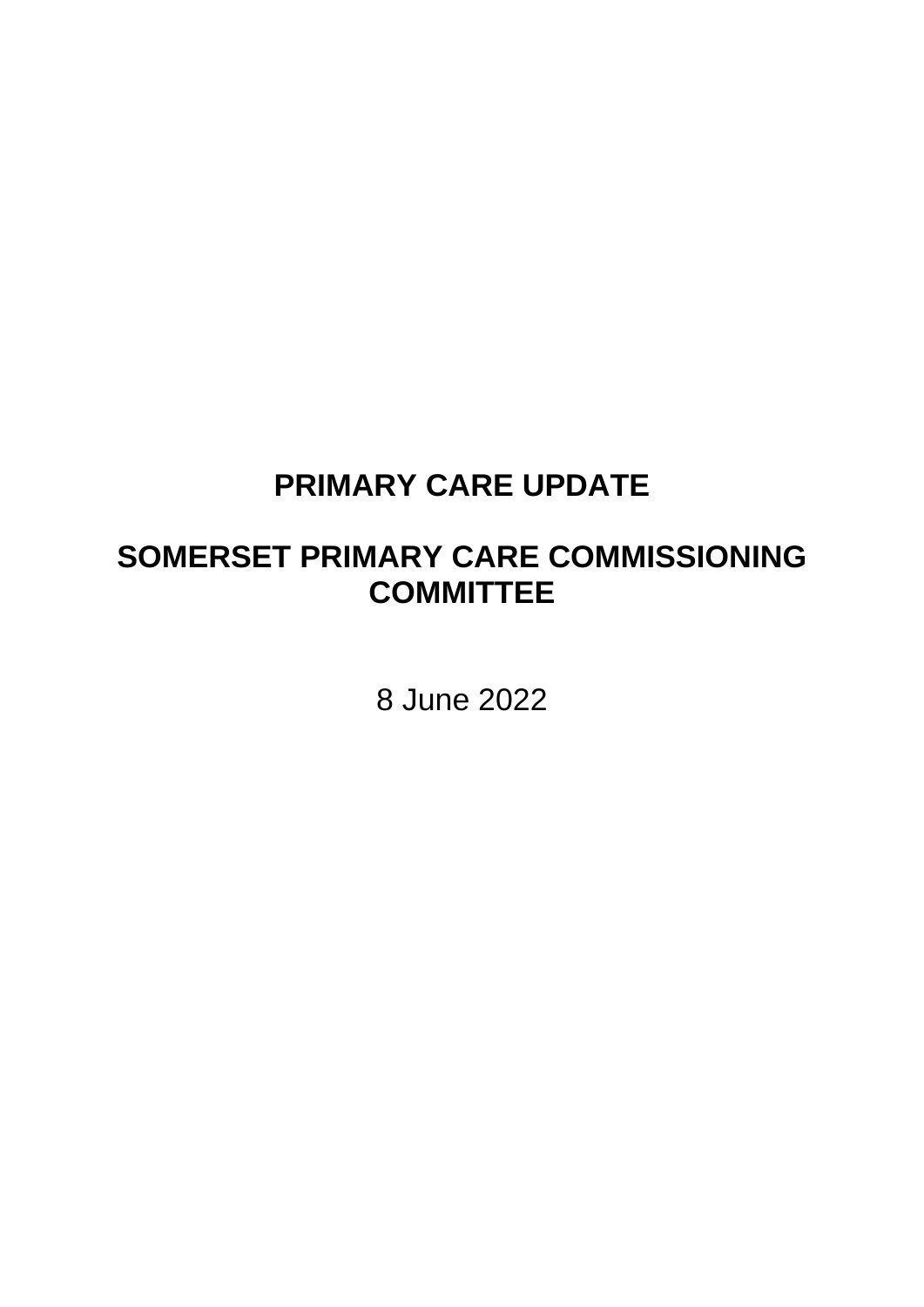# **PRIMARY CARE UPDATE**

# **SOMERSET PRIMARY CARE COMMISSIONING COMMITTEE**

8 June 2022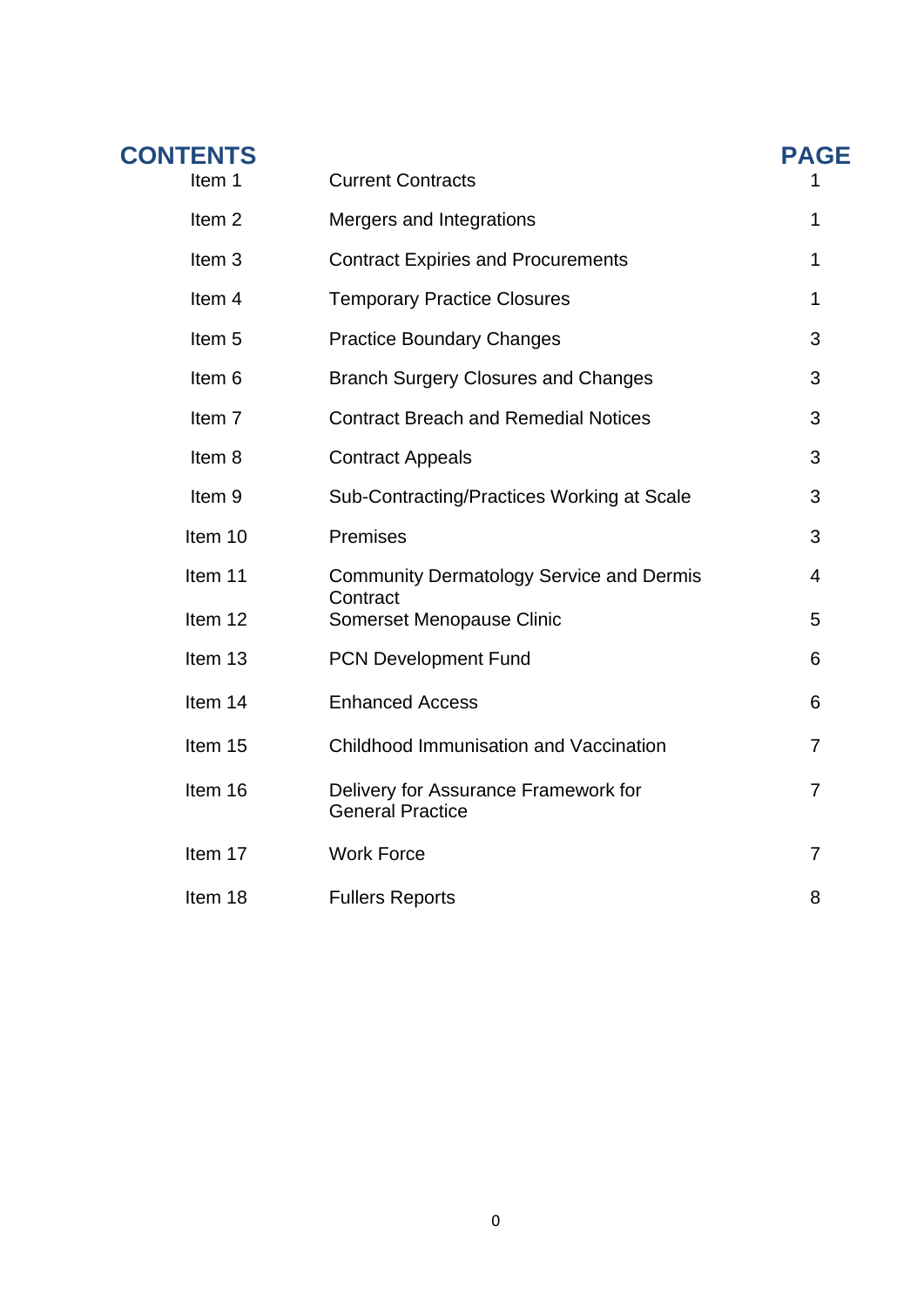| <b>CONTENTS</b>   |                                                                 | <b>PAGE</b>    |
|-------------------|-----------------------------------------------------------------|----------------|
| Item 1            | <b>Current Contracts</b>                                        |                |
| Item <sub>2</sub> | Mergers and Integrations                                        | 1              |
| Item <sub>3</sub> | <b>Contract Expiries and Procurements</b>                       | 1              |
| Item 4            | <b>Temporary Practice Closures</b>                              | 1              |
| Item <sub>5</sub> | <b>Practice Boundary Changes</b>                                | 3              |
| Item 6            | <b>Branch Surgery Closures and Changes</b>                      | 3              |
| Item 7            | <b>Contract Breach and Remedial Notices</b>                     | 3              |
| Item 8            | <b>Contract Appeals</b>                                         | 3              |
| Item <sub>9</sub> | Sub-Contracting/Practices Working at Scale                      | 3              |
| Item 10           | Premises                                                        | 3              |
| Item 11           | <b>Community Dermatology Service and Dermis</b>                 | 4              |
| Item 12           | Contract<br>Somerset Menopause Clinic                           | 5              |
| Item 13           | <b>PCN Development Fund</b>                                     | 6              |
| Item 14           | <b>Enhanced Access</b>                                          | 6              |
| Item 15           | Childhood Immunisation and Vaccination                          | 7              |
| Item 16           | Delivery for Assurance Framework for<br><b>General Practice</b> | $\overline{7}$ |
| Item 17           | <b>Work Force</b>                                               | $\overline{7}$ |
| Item 18           | <b>Fullers Reports</b>                                          | 8              |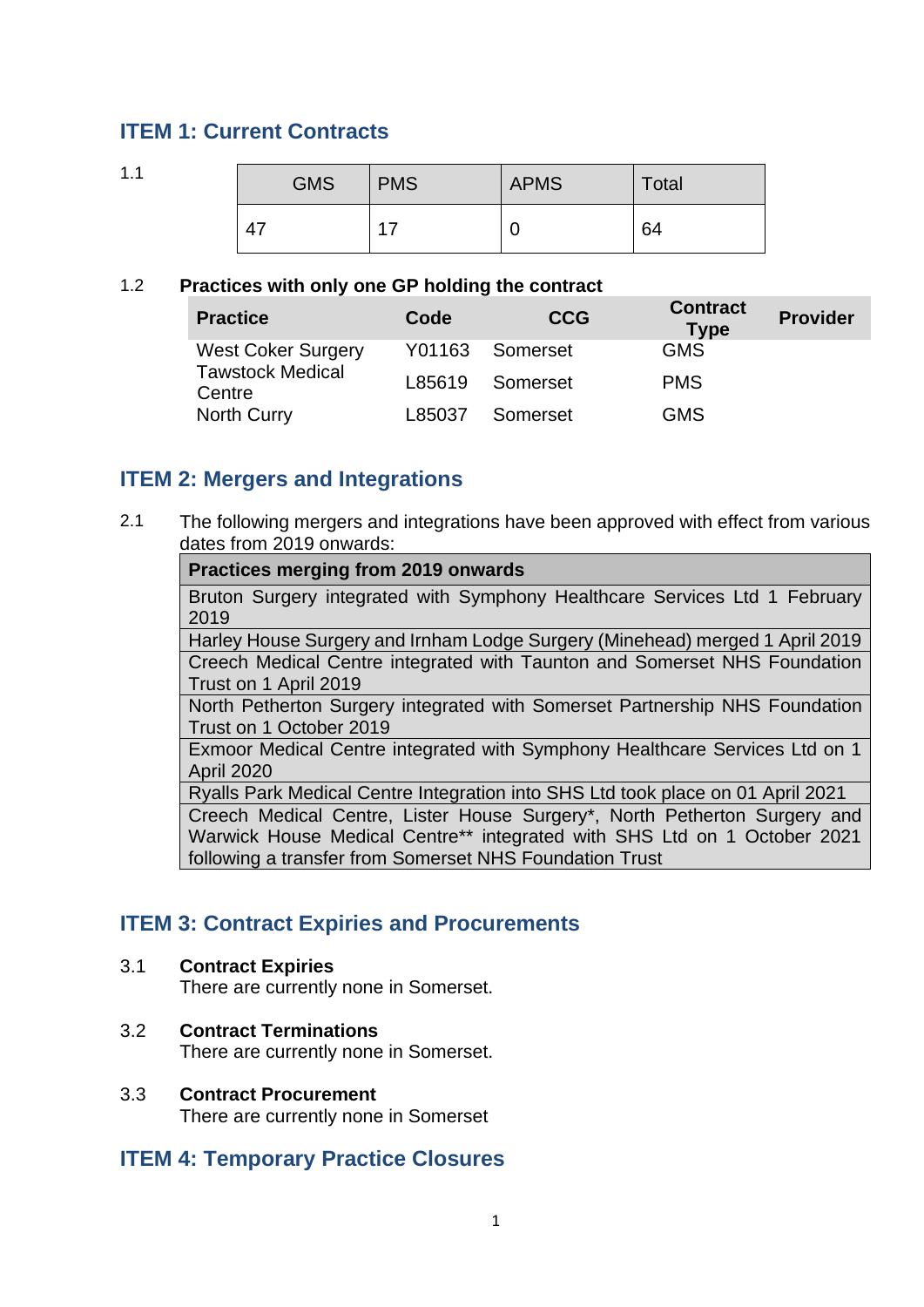# **ITEM 1: Current Contracts**

1.1

| <b>GMS</b> | <b>PMS</b> | <b>APMS</b> | Total |
|------------|------------|-------------|-------|
|            | 17         | U           | 64    |

#### 1.2 **Practices with only one GP holding the contract**

| <b>Practice</b>                   | Code   | <b>CCG</b> | <b>Contract</b><br><b>Type</b> | <b>Provider</b> |
|-----------------------------------|--------|------------|--------------------------------|-----------------|
| <b>West Coker Surgery</b>         | Y01163 | Somerset   | <b>GMS</b>                     |                 |
| <b>Tawstock Medical</b><br>Centre | L85619 | Somerset   | <b>PMS</b>                     |                 |
| North Curry                       | L85037 | Somerset   | <b>GMS</b>                     |                 |

## **ITEM 2: Mergers and Integrations**

2.1 The following mergers and integrations have been approved with effect from various dates from 2019 onwards:

#### **Practices merging from 2019 onwards**

Bruton Surgery integrated with Symphony Healthcare Services Ltd 1 February 2019

Harley House Surgery and Irnham Lodge Surgery (Minehead) merged 1 April 2019 Creech Medical Centre integrated with Taunton and Somerset NHS Foundation Trust on 1 April 2019

North Petherton Surgery integrated with Somerset Partnership NHS Foundation Trust on 1 October 2019

Exmoor Medical Centre integrated with Symphony Healthcare Services Ltd on 1 April 2020

Ryalls Park Medical Centre Integration into SHS Ltd took place on 01 April 2021 Creech Medical Centre, Lister House Surgery\*, North Petherton Surgery and Warwick House Medical Centre\*\* integrated with SHS Ltd on 1 October 2021 following a transfer from Somerset NHS Foundation Trust

## **ITEM 3: Contract Expiries and Procurements**

#### 3.1 **Contract Expiries**

There are currently none in Somerset.

3.2 **Contract Terminations**  There are currently none in Somerset.

#### 3.3 **Contract Procurement**  There are currently none in Somerset

## **ITEM 4: Temporary Practice Closures**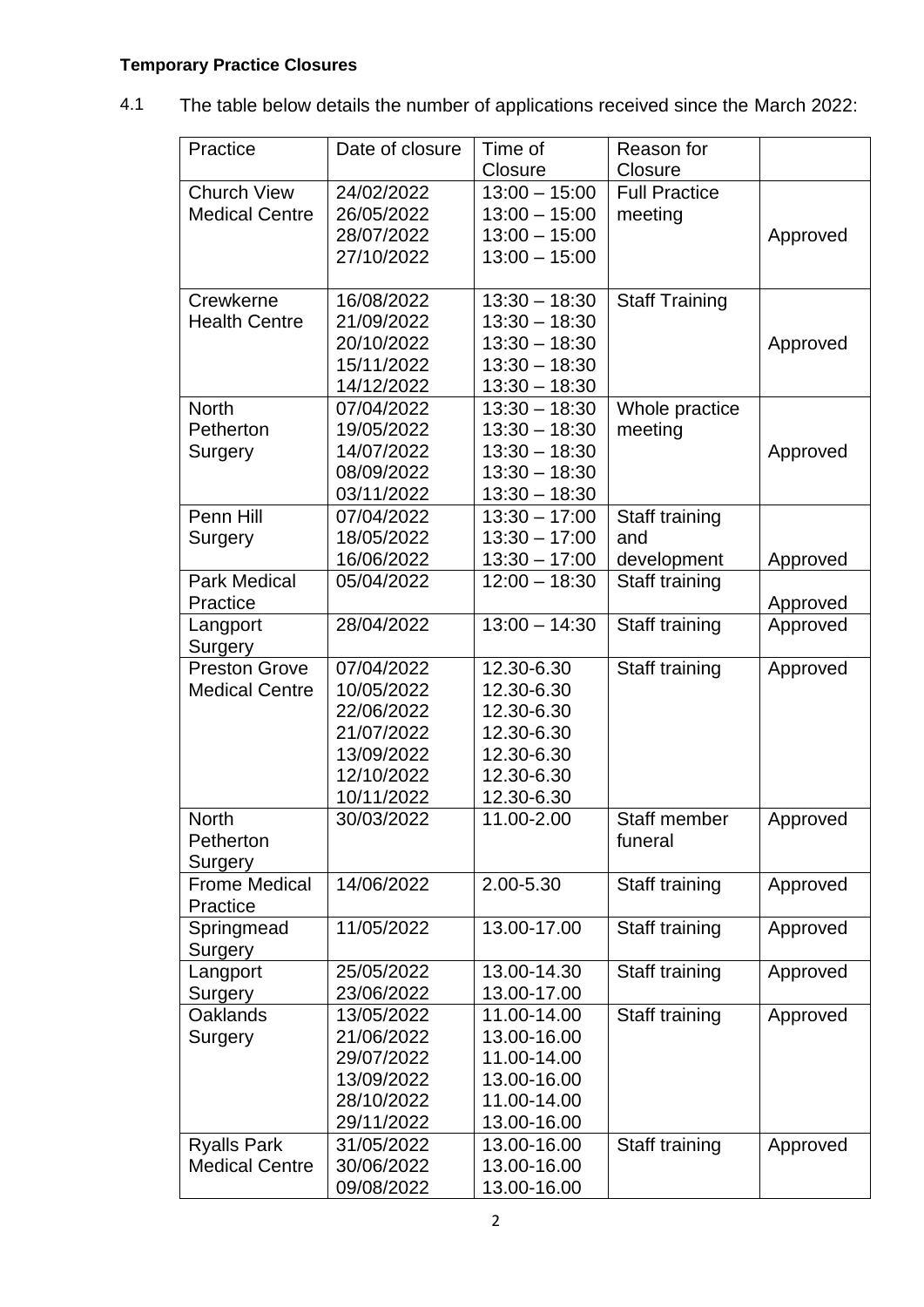# **Temporary Practice Closures**

4.1 The table below details the number of applications received since the March 2022:

| Practice              | Date of closure | Time of         | Reason for            |          |
|-----------------------|-----------------|-----------------|-----------------------|----------|
|                       |                 | Closure         | Closure               |          |
| <b>Church View</b>    | 24/02/2022      | $13:00 - 15:00$ | <b>Full Practice</b>  |          |
| <b>Medical Centre</b> | 26/05/2022      | $13:00 - 15:00$ | meeting               |          |
|                       | 28/07/2022      | $13:00 - 15:00$ |                       | Approved |
|                       | 27/10/2022      | $13:00 - 15:00$ |                       |          |
|                       |                 |                 |                       |          |
| Crewkerne             | 16/08/2022      | $13:30 - 18:30$ | <b>Staff Training</b> |          |
| <b>Health Centre</b>  | 21/09/2022      | $13:30 - 18:30$ |                       |          |
|                       | 20/10/2022      | $13:30 - 18:30$ |                       | Approved |
|                       | 15/11/2022      | $13:30 - 18:30$ |                       |          |
|                       | 14/12/2022      | $13:30 - 18:30$ |                       |          |
| <b>North</b>          | 07/04/2022      | $13:30 - 18:30$ | Whole practice        |          |
| Petherton             | 19/05/2022      | $13:30 - 18:30$ | meeting               |          |
| Surgery               | 14/07/2022      | $13:30 - 18:30$ |                       | Approved |
|                       | 08/09/2022      | $13:30 - 18:30$ |                       |          |
|                       | 03/11/2022      | $13:30 - 18:30$ |                       |          |
| Penn Hill             | 07/04/2022      | $13:30 - 17:00$ | Staff training        |          |
| Surgery               | 18/05/2022      | $13:30 - 17:00$ | and                   |          |
|                       | 16/06/2022      | $13:30 - 17:00$ | development           | Approved |
| <b>Park Medical</b>   | 05/04/2022      | $12:00 - 18:30$ | Staff training        |          |
| Practice              |                 |                 |                       | Approved |
| Langport              | 28/04/2022      | $13:00 - 14:30$ | Staff training        | Approved |
| Surgery               |                 |                 |                       |          |
| <b>Preston Grove</b>  | 07/04/2022      | 12.30-6.30      | Staff training        | Approved |
| <b>Medical Centre</b> | 10/05/2022      | 12.30-6.30      |                       |          |
|                       | 22/06/2022      | 12.30-6.30      |                       |          |
|                       | 21/07/2022      | 12.30-6.30      |                       |          |
|                       | 13/09/2022      | 12.30-6.30      |                       |          |
|                       | 12/10/2022      | 12.30-6.30      |                       |          |
|                       | 10/11/2022      | 12.30-6.30      |                       |          |
| <b>North</b>          | 30/03/2022      | 11.00-2.00      | Staff member          | Approved |
| Petherton             |                 |                 | funeral               |          |
| Surgery               |                 |                 |                       |          |
| <b>Frome Medical</b>  | 14/06/2022      | 2.00-5.30       | Staff training        | Approved |
| Practice              |                 |                 |                       |          |
| Springmead            | 11/05/2022      | 13.00-17.00     | Staff training        | Approved |
| Surgery               |                 |                 |                       |          |
| Langport              | 25/05/2022      | 13.00-14.30     | Staff training        | Approved |
| Surgery               | 23/06/2022      | 13.00-17.00     |                       |          |
| <b>Oaklands</b>       | 13/05/2022      | 11.00-14.00     | Staff training        | Approved |
| Surgery               | 21/06/2022      | 13.00-16.00     |                       |          |
|                       | 29/07/2022      | 11.00-14.00     |                       |          |
|                       | 13/09/2022      | 13.00-16.00     |                       |          |
|                       | 28/10/2022      | 11.00-14.00     |                       |          |
|                       | 29/11/2022      | 13.00-16.00     |                       |          |
| <b>Ryalls Park</b>    | 31/05/2022      | 13.00-16.00     | Staff training        | Approved |
| <b>Medical Centre</b> | 30/06/2022      | 13.00-16.00     |                       |          |
|                       | 09/08/2022      | 13.00-16.00     |                       |          |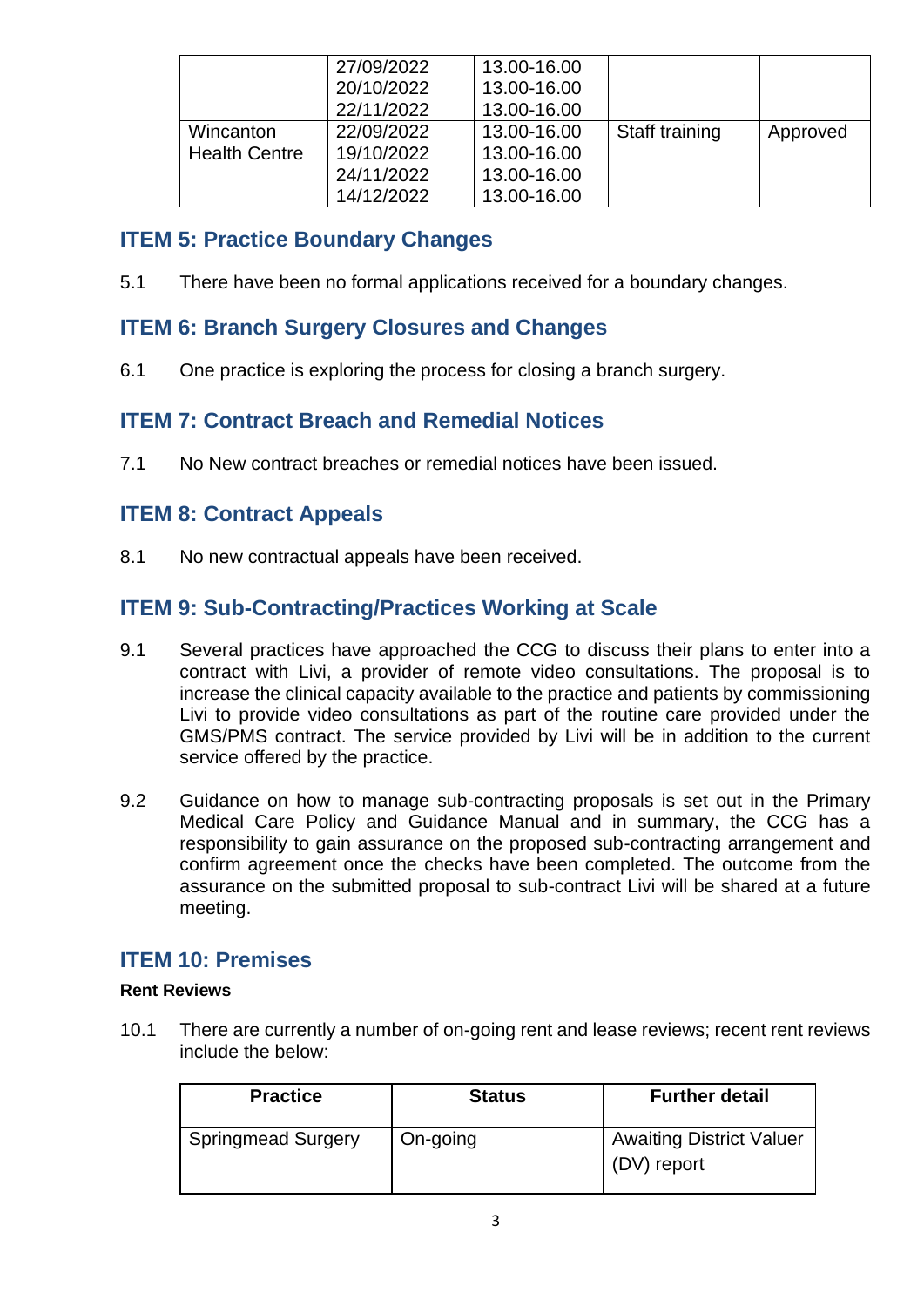|                      | 27/09/2022 | 13.00-16.00 |                |          |
|----------------------|------------|-------------|----------------|----------|
|                      | 20/10/2022 | 13.00-16.00 |                |          |
|                      | 22/11/2022 | 13.00-16.00 |                |          |
| Wincanton            | 22/09/2022 | 13.00-16.00 | Staff training | Approved |
| <b>Health Centre</b> | 19/10/2022 | 13.00-16.00 |                |          |
|                      | 24/11/2022 | 13.00-16.00 |                |          |
|                      | 14/12/2022 | 13.00-16.00 |                |          |

# **ITEM 5: Practice Boundary Changes**

5.1 There have been no formal applications received for a boundary changes.

# **ITEM 6: Branch Surgery Closures and Changes**

6.1 One practice is exploring the process for closing a branch surgery.

# **ITEM 7: Contract Breach and Remedial Notices**

7.1 No New contract breaches or remedial notices have been issued.

# **ITEM 8: Contract Appeals**

8.1 No new contractual appeals have been received.

# **ITEM 9: Sub-Contracting/Practices Working at Scale**

- 9.1 Several practices have approached the CCG to discuss their plans to enter into a contract with Livi, a provider of remote video consultations. The proposal is to increase the clinical capacity available to the practice and patients by commissioning Livi to provide video consultations as part of the routine care provided under the GMS/PMS contract. The service provided by Livi will be in addition to the current service offered by the practice.
- 9.2 Guidance on how to manage sub-contracting proposals is set out in the Primary Medical Care Policy and Guidance Manual and in summary, the CCG has a responsibility to gain assurance on the proposed sub-contracting arrangement and confirm agreement once the checks have been completed. The outcome from the assurance on the submitted proposal to sub-contract Livi will be shared at a future meeting.

## **ITEM 10: Premises**

#### **Rent Reviews**

10.1 There are currently a number of on-going rent and lease reviews; recent rent reviews include the below:

| <b>Practice</b>           | <b>Status</b> | <b>Further detail</b>                          |
|---------------------------|---------------|------------------------------------------------|
| <b>Springmead Surgery</b> | On-going      | <b>Awaiting District Valuer</b><br>(DV) report |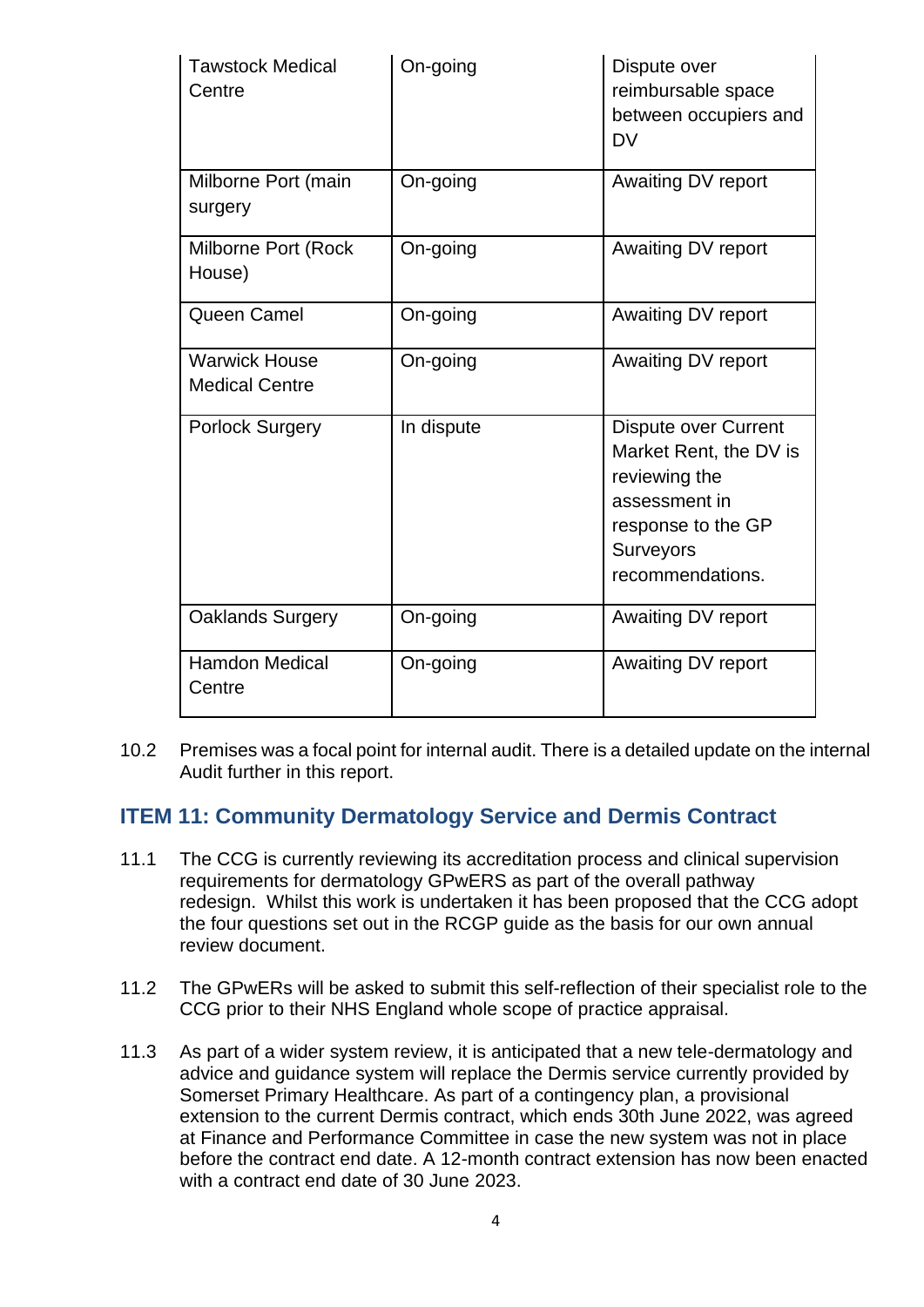| <b>Tawstock Medical</b><br>Centre             | On-going   | Dispute over<br>reimbursable space<br>between occupiers and<br><b>DV</b>                                                                       |
|-----------------------------------------------|------------|------------------------------------------------------------------------------------------------------------------------------------------------|
| Milborne Port (main<br>surgery                | On-going   | Awaiting DV report                                                                                                                             |
| Milborne Port (Rock<br>House)                 | On-going   | Awaiting DV report                                                                                                                             |
| Queen Camel                                   | On-going   | Awaiting DV report                                                                                                                             |
| <b>Warwick House</b><br><b>Medical Centre</b> | On-going   | Awaiting DV report                                                                                                                             |
| <b>Porlock Surgery</b>                        | In dispute | <b>Dispute over Current</b><br>Market Rent, the DV is<br>reviewing the<br>assessment in<br>response to the GP<br>Surveyors<br>recommendations. |
| <b>Oaklands Surgery</b>                       | On-going   | Awaiting DV report                                                                                                                             |
| <b>Hamdon Medical</b><br>Centre               | On-going   | Awaiting DV report                                                                                                                             |

10.2 Premises was a focal point for internal audit. There is a detailed update on the internal Audit further in this report.

# **ITEM 11: Community Dermatology Service and Dermis Contract**

- 11.1 The CCG is currently reviewing its accreditation process and clinical supervision requirements for dermatology GPwERS as part of the overall pathway redesign. Whilst this work is undertaken it has been proposed that the CCG adopt the four questions set out in the RCGP guide as the basis for our own annual review document.
- 11.2 The GPwERs will be asked to submit this self-reflection of their specialist role to the CCG prior to their NHS England whole scope of practice appraisal.
- 11.3 As part of a wider system review, it is anticipated that a new tele-dermatology and advice and guidance system will replace the Dermis service currently provided by Somerset Primary Healthcare. As part of a contingency plan, a provisional extension to the current Dermis contract, which ends 30th June 2022, was agreed at Finance and Performance Committee in case the new system was not in place before the contract end date. A 12-month contract extension has now been enacted with a contract end date of 30 June 2023.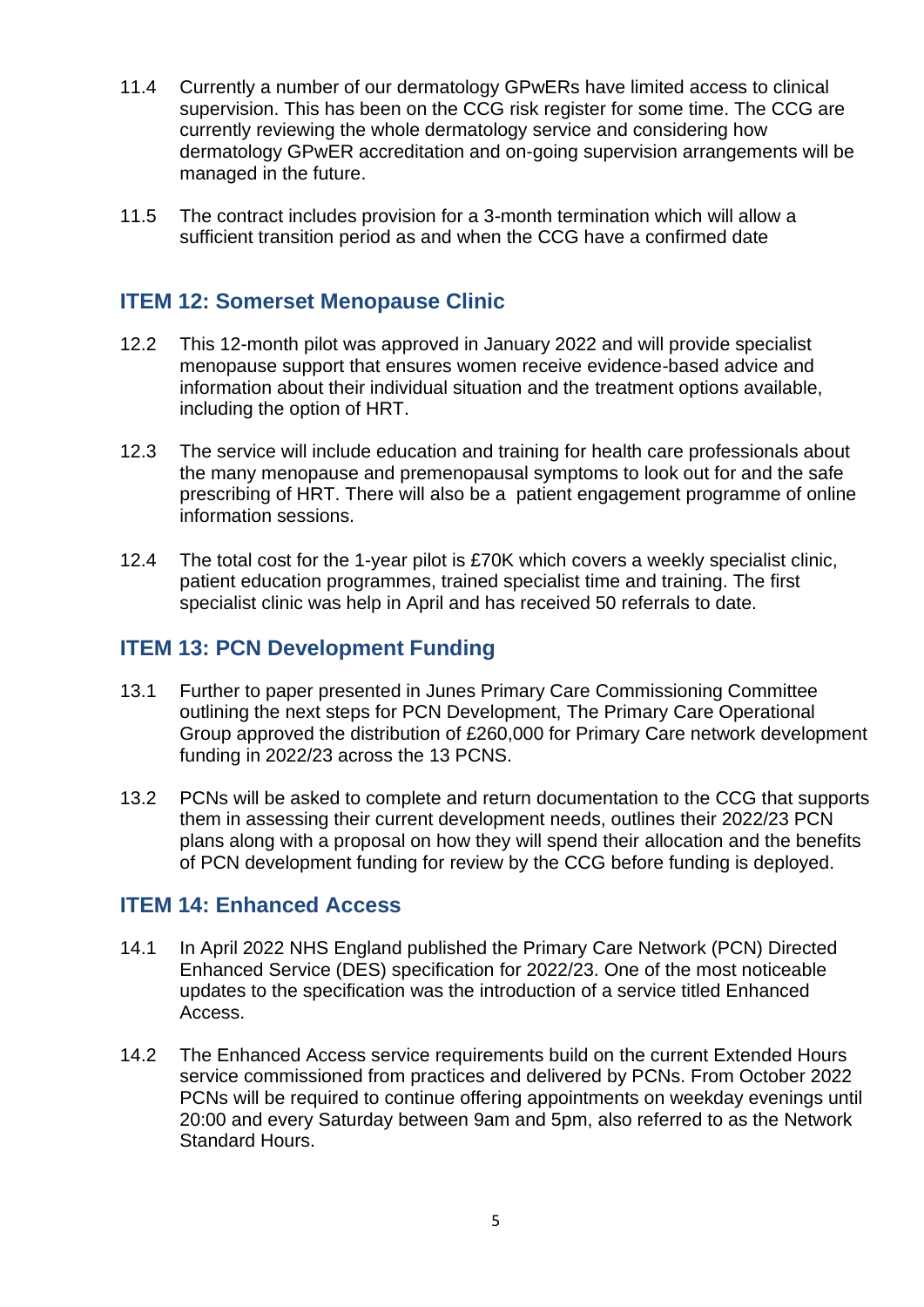- 11.4 Currently a number of our dermatology GPwERs have limited access to clinical supervision. This has been on the CCG risk register for some time. The CCG are currently reviewing the whole dermatology service and considering how dermatology GPwER accreditation and on-going supervision arrangements will be managed in the future.
- 11.5 The contract includes provision for a 3-month termination which will allow a sufficient transition period as and when the CCG have a confirmed date

# **ITEM 12: Somerset Menopause Clinic**

- 12.2 This 12-month pilot was approved in January 2022 and will provide specialist menopause support that ensures women receive evidence-based advice and information about their individual situation and the treatment options available, including the option of HRT.
- 12.3 The service will include education and training for health care professionals about the many menopause and premenopausal symptoms to look out for and the safe prescribing of HRT. There will also be a patient engagement programme of online information sessions.
- 12.4 The total cost for the 1-year pilot is £70K which covers a weekly specialist clinic, patient education programmes, trained specialist time and training. The first specialist clinic was help in April and has received 50 referrals to date.

## **ITEM 13: PCN Development Funding**

- 13.1 Further to paper presented in Junes Primary Care Commissioning Committee outlining the next steps for PCN Development, The Primary Care Operational Group approved the distribution of £260,000 for Primary Care network development funding in 2022/23 across the 13 PCNS.
- 13.2 PCNs will be asked to complete and return documentation to the CCG that supports them in assessing their current development needs, outlines their 2022/23 PCN plans along with a proposal on how they will spend their allocation and the benefits of PCN development funding for review by the CCG before funding is deployed.

#### **ITEM 14: Enhanced Access**

- 14.1 In April 2022 NHS England published the Primary Care Network (PCN) Directed Enhanced Service (DES) specification for 2022/23. One of the most noticeable updates to the specification was the introduction of a service titled Enhanced Access.
- 14.2 The Enhanced Access service requirements build on the current Extended Hours service commissioned from practices and delivered by PCNs. From October 2022 PCNs will be required to continue offering appointments on weekday evenings until 20:00 and every Saturday between 9am and 5pm, also referred to as the Network Standard Hours.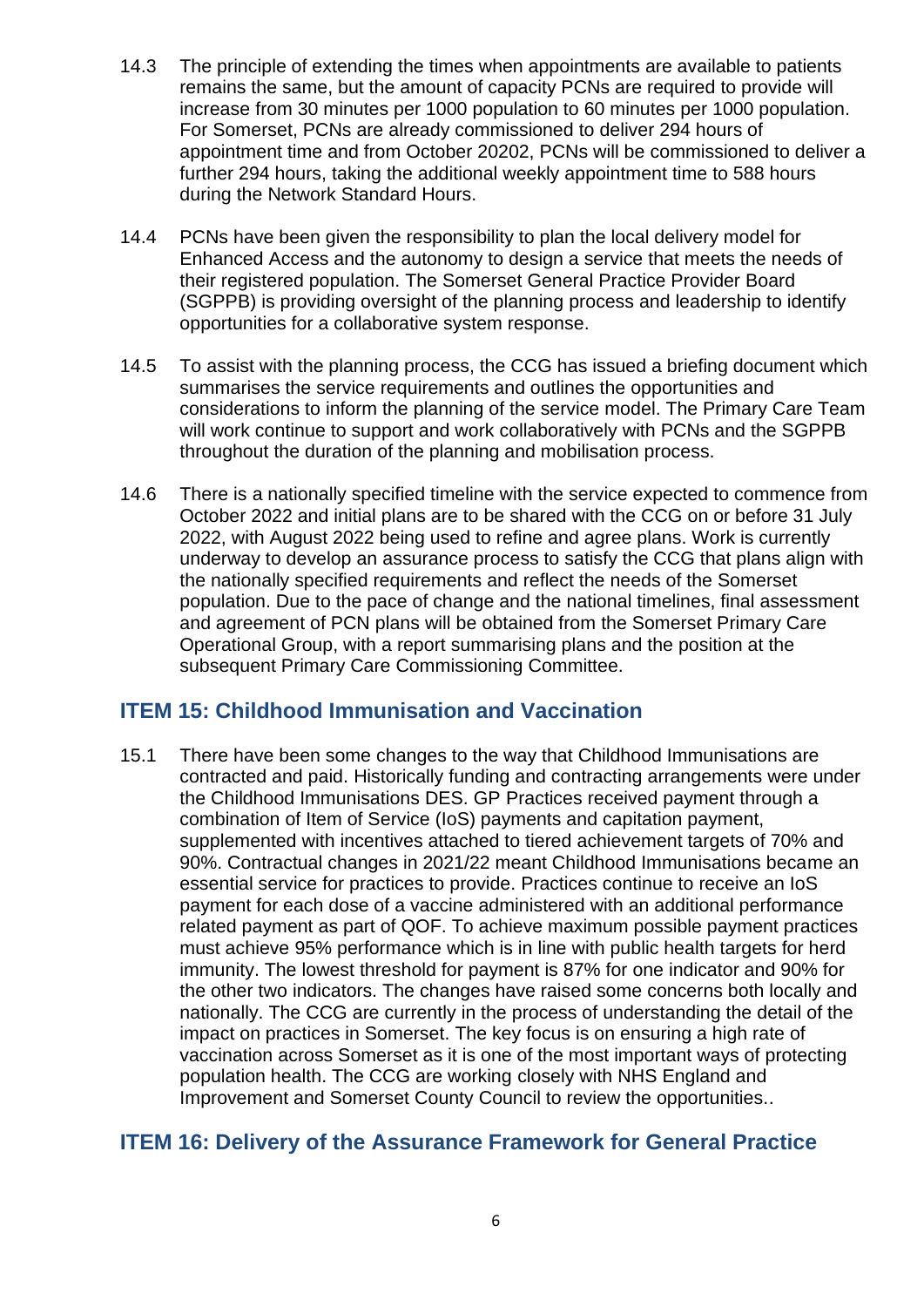- 14.3 The principle of extending the times when appointments are available to patients remains the same, but the amount of capacity PCNs are required to provide will increase from 30 minutes per 1000 population to 60 minutes per 1000 population. For Somerset, PCNs are already commissioned to deliver 294 hours of appointment time and from October 20202, PCNs will be commissioned to deliver a further 294 hours, taking the additional weekly appointment time to 588 hours during the Network Standard Hours.
- 14.4 PCNs have been given the responsibility to plan the local delivery model for Enhanced Access and the autonomy to design a service that meets the needs of their registered population. The Somerset General Practice Provider Board (SGPPB) is providing oversight of the planning process and leadership to identify opportunities for a collaborative system response.
- 14.5 To assist with the planning process, the CCG has issued a briefing document which summarises the service requirements and outlines the opportunities and considerations to inform the planning of the service model. The Primary Care Team will work continue to support and work collaboratively with PCNs and the SGPPB throughout the duration of the planning and mobilisation process.
- 14.6 There is a nationally specified timeline with the service expected to commence from October 2022 and initial plans are to be shared with the CCG on or before 31 July 2022, with August 2022 being used to refine and agree plans. Work is currently underway to develop an assurance process to satisfy the CCG that plans align with the nationally specified requirements and reflect the needs of the Somerset population. Due to the pace of change and the national timelines, final assessment and agreement of PCN plans will be obtained from the Somerset Primary Care Operational Group, with a report summarising plans and the position at the subsequent Primary Care Commissioning Committee.

## **ITEM 15: Childhood Immunisation and Vaccination**

15.1 There have been some changes to the way that Childhood Immunisations are contracted and paid. Historically funding and contracting arrangements were under the Childhood Immunisations DES. GP Practices received payment through a combination of Item of Service (IoS) payments and capitation payment, supplemented with incentives attached to tiered achievement targets of 70% and 90%. Contractual changes in 2021/22 meant Childhood Immunisations became an essential service for practices to provide. Practices continue to receive an IoS payment for each dose of a vaccine administered with an additional performance related payment as part of QOF. To achieve maximum possible payment practices must achieve 95% performance which is in line with public health targets for herd immunity. The lowest threshold for payment is 87% for one indicator and 90% for the other two indicators. The changes have raised some concerns both locally and nationally. The CCG are currently in the process of understanding the detail of the impact on practices in Somerset. The key focus is on ensuring a high rate of vaccination across Somerset as it is one of the most important ways of protecting population health. The CCG are working closely with NHS England and Improvement and Somerset County Council to review the opportunities..

## **ITEM 16: Delivery of the Assurance Framework for General Practice**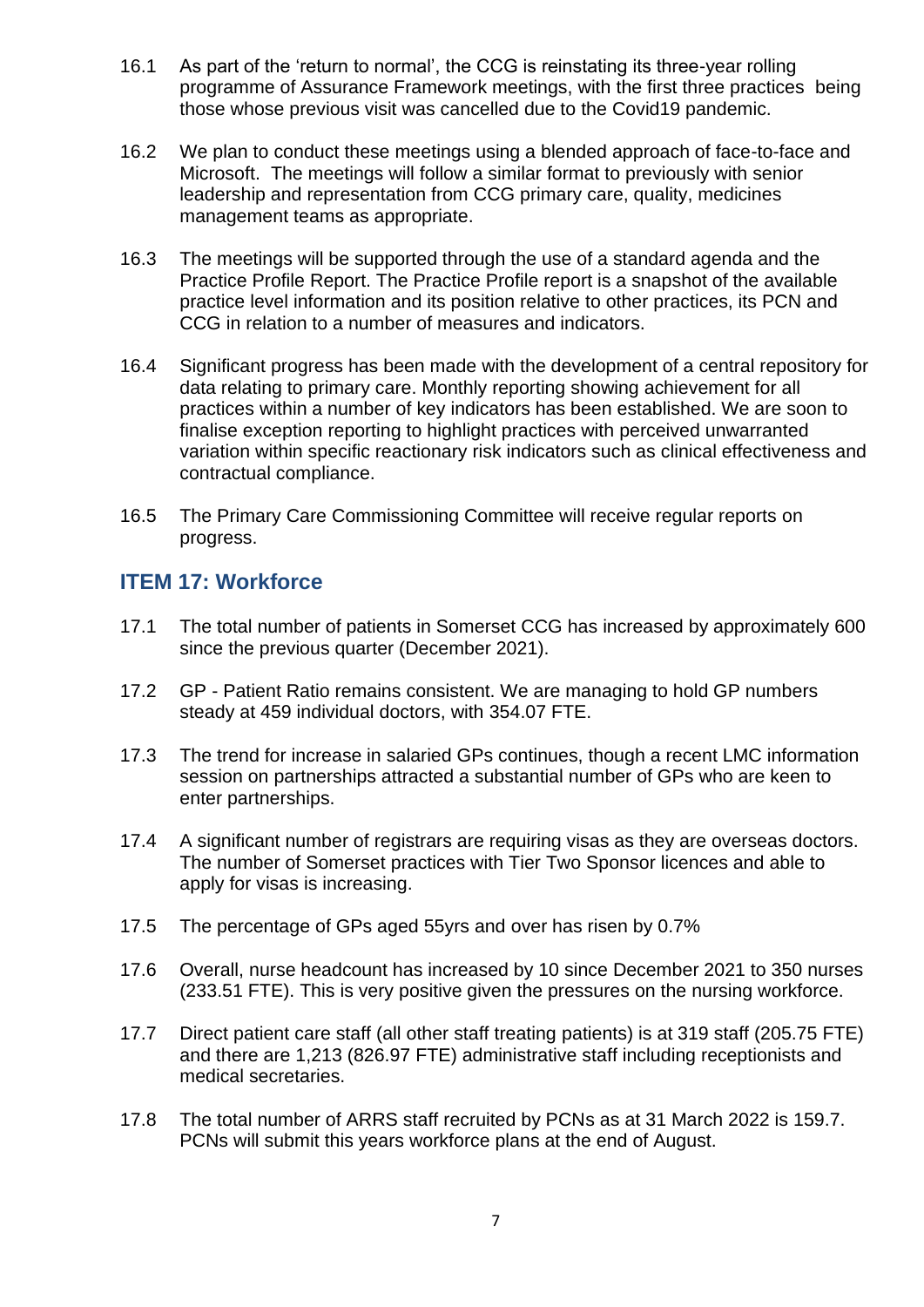- 16.1 As part of the 'return to normal', the CCG is reinstating its three-year rolling programme of Assurance Framework meetings, with the first three practices being those whose previous visit was cancelled due to the Covid19 pandemic.
- 16.2 We plan to conduct these meetings using a blended approach of face-to-face and Microsoft. The meetings will follow a similar format to previously with senior leadership and representation from CCG primary care, quality, medicines management teams as appropriate.
- 16.3 The meetings will be supported through the use of a standard agenda and the Practice Profile Report. The Practice Profile report is a snapshot of the available practice level information and its position relative to other practices, its PCN and CCG in relation to a number of measures and indicators.
- 16.4 Significant progress has been made with the development of a central repository for data relating to primary care. Monthly reporting showing achievement for all practices within a number of key indicators has been established. We are soon to finalise exception reporting to highlight practices with perceived unwarranted variation within specific reactionary risk indicators such as clinical effectiveness and contractual compliance.
- 16.5 The Primary Care Commissioning Committee will receive regular reports on progress.

## **ITEM 17: Workforce**

- 17.1 The total number of patients in Somerset CCG has increased by approximately 600 since the previous quarter (December 2021).
- 17.2 GP Patient Ratio remains consistent. We are managing to hold GP numbers steady at 459 individual doctors, with 354.07 FTE.
- 17.3 The trend for increase in salaried GPs continues, though a recent LMC information session on partnerships attracted a substantial number of GPs who are keen to enter partnerships.
- 17.4 A significant number of registrars are requiring visas as they are overseas doctors. The number of Somerset practices with Tier Two Sponsor licences and able to apply for visas is increasing.
- 17.5 The percentage of GPs aged 55yrs and over has risen by 0.7%
- 17.6 Overall, nurse headcount has increased by 10 since December 2021 to 350 nurses (233.51 FTE). This is very positive given the pressures on the nursing workforce.
- 17.7 Direct patient care staff (all other staff treating patients) is at 319 staff (205.75 FTE) and there are 1,213 (826.97 FTE) administrative staff including receptionists and medical secretaries.
- 17.8 The total number of ARRS staff recruited by PCNs as at 31 March 2022 is 159.7. PCNs will submit this years workforce plans at the end of August.